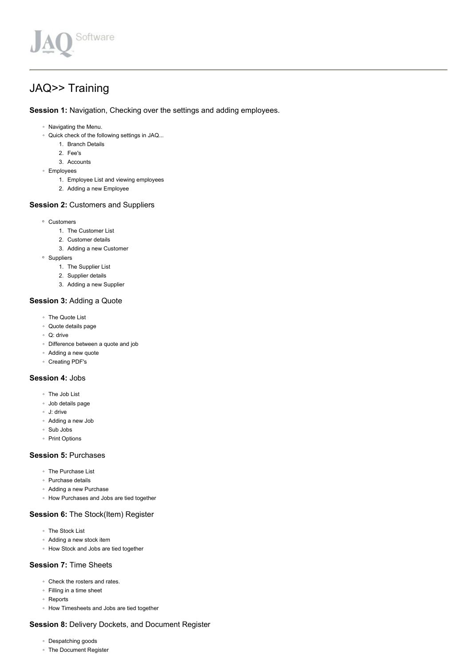

# JAQ>> Training

Session 1: Navigation, Checking over the settings and adding employees.

- Navigating the Menu.
- Quick check of the following settings in JAQ...
	- 1. Branch Details
	- 2. Fee's
	- 3. Accounts
- Employees
	- 1. Employee List and viewing employees
	- 2. Adding a new Employee

# Session 2: Customers and Suppliers

- Customers
	- 1. The Customer List
	- 2. Customer details
	- 3. Adding a new Customer
- Suppliers
	- 1. The Supplier List
	- 2. Supplier details
	- 3. Adding a new Supplier

#### Session 3: Adding a Quote

- The Quote List
- Quote details page
- Q: drive
- Difference between a quote and job
- Adding a new quote
- Creating PDF's

#### Session 4: Jobs

- The Job List
- Job details page
- J: drive
- Adding a new Job
- Sub Jobs
- Print Options

### Session 5: Purchases

- The Purchase List
- Purchase details
- Adding a new Purchase
- How Purchases and Jobs are tied together

### Session 6: The Stock(Item) Register

- The Stock List
- Adding a new stock item
- How Stock and Jobs are tied together

# Session 7: Time Sheets

- Check the rosters and rates.
- Filling in a time sheet
- Reports
- How Timesheets and Jobs are tied together

### Session 8: Delivery Dockets, and Document Register

- Despatching goods
- The Document Register